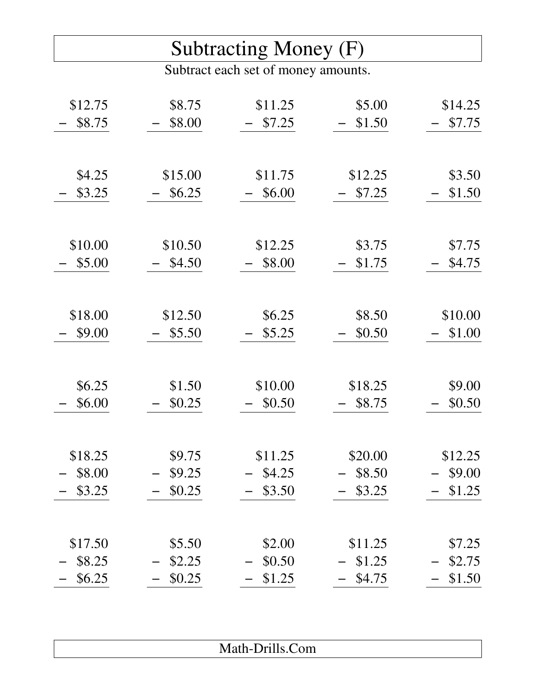## Subtracting Money (F)

Subtract each set of money amounts.

| \$12.75 | \$8.75  | \$11.25 | \$5.00  | \$14.25 |
|---------|---------|---------|---------|---------|
| \$8.75  | \$8.00  | \$7.25  | \$1.50  | \$7.75  |
|         |         |         |         |         |
|         |         |         |         |         |
| \$4.25  | \$15.00 | \$11.75 | \$12.25 | \$3.50  |
| \$3.25  | \$6.25  | \$6.00  | \$7.25  | \$1.50  |
|         |         |         |         |         |
|         |         |         |         |         |
| \$10.00 | \$10.50 | \$12.25 | \$3.75  | \$7.75  |
| \$5.00  | \$4.50  | \$8.00  | \$1.75  | \$4.75  |
|         |         |         |         |         |
|         |         |         |         |         |
| \$18.00 | \$12.50 | \$6.25  | \$8.50  | \$10.00 |
| \$9.00  | \$5.50  | \$5.25  | \$0.50  | \$1.00  |
|         |         |         |         |         |
|         |         |         |         |         |
| \$6.25  | \$1.50  | \$10.00 | \$18.25 | \$9.00  |
| \$6.00  | \$0.25  | \$0.50  | \$8.75  | \$0.50  |
|         |         |         |         |         |
|         |         |         |         |         |
| \$18.25 | \$9.75  | \$11.25 | \$20.00 | \$12.25 |
| \$8.00  | \$9.25  | \$4.25  | \$8.50  | \$9.00  |
| \$3.25  | \$0.25  | \$3.50  | \$3.25  | \$1.25  |
|         |         |         |         |         |
|         |         |         |         |         |
| \$17.50 | \$5.50  | \$2.00  | \$11.25 | \$7.25  |
| \$8.25  | \$2.25  | \$0.50  | \$1.25  | \$2.75  |
| \$6.25  | \$0.25  | \$1.25  | \$4.75  | \$1.50  |

| .<br>Math-Drills.Com |
|----------------------|
|                      |